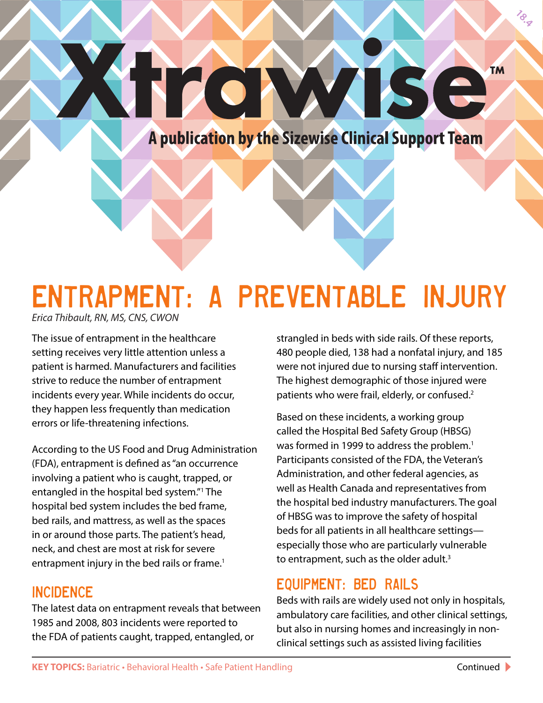**18.7** 

A publication by the Sizewise Clinical Support Team

 $\blacksquare$ 

# Entrapment: A Preventable Injury

**Y TZOTV** 

*Erica Thibault, RN, MS, CNS, CWON*

The issue of entrapment in the healthcare setting receives very little attention unless a patient is harmed. Manufacturers and facilities strive to reduce the number of entrapment incidents every year. While incidents do occur, they happen less frequently than medication errors or life-threatening infections.

According to the US Food and Drug Administration (FDA), entrapment is defined as "an occurrence involving a patient who is caught, trapped, or entangled in the hospital bed system."1 The hospital bed system includes the bed frame, bed rails, and mattress, as well as the spaces in or around those parts. The patient's head, neck, and chest are most at risk for severe entrapment injury in the bed rails or frame.<sup>1</sup>

### **INCIDENCE**

The latest data on entrapment reveals that between 1985 and 2008, 803 incidents were reported to the FDA of patients caught, trapped, entangled, or

strangled in beds with side rails. Of these reports, 480 people died, 138 had a nonfatal injury, and 185 were not injured due to nursing staff intervention. The highest demographic of those injured were patients who were frail, elderly, or confused.<sup>2</sup>

Based on these incidents, a working group called the Hospital Bed Safety Group (HBSG) was formed in 1999 to address the problem.<sup>1</sup> Participants consisted of the FDA, the Veteran's Administration, and other federal agencies, as well as Health Canada and representatives from the hospital bed industry manufacturers. The goal of HBSG was to improve the safety of hospital beds for all patients in all healthcare settings especially those who are particularly vulnerable to entrapment, such as the older adult.<sup>3</sup>

## Equipment: Bed Rails

Beds with rails are widely used not only in hospitals, ambulatory care facilities, and other clinical settings, but also in nursing homes and increasingly in nonclinical settings such as assisted living facilities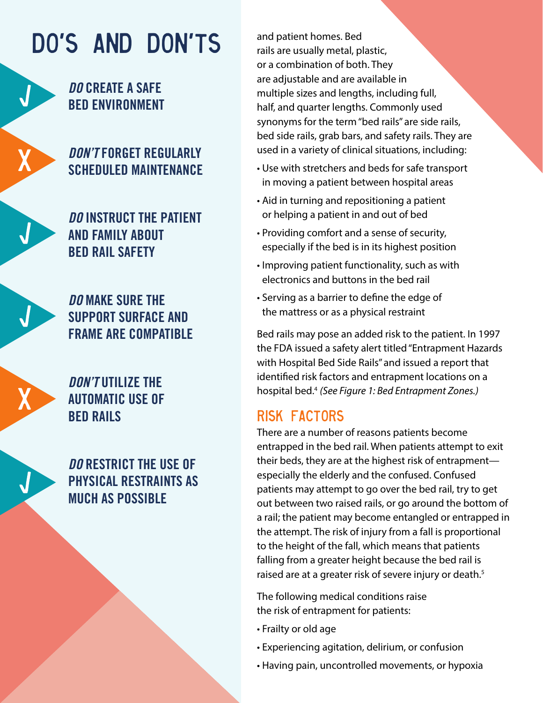## Do's and Don'ts

## **DO CREATE A SAFE BED ENVIRONMENT**

## **DON'T FORGET REGULARLY SCHEDULED MAINTENANCE**

**DO INSTRUCT THE PATIENT AND FAMILY ABOUT BED RAIL SAFETY**

**DO MAKE SURE THE SUPPORT SURFACE AND FRAME ARE COMPATIBLE** 

**DON'T UTILIZE THE AUTOMATIC USE OF BED RAILS**

**DO RESTRICT THE USE OF PHYSICAL RESTRAINTS AS MUCH AS POSSIBLE** 

and patient homes. Bed rails are usually metal, plastic, or a combination of both. They are adjustable and are available in multiple sizes and lengths, including full, half, and quarter lengths. Commonly used synonyms for the term "bed rails" are side rails, bed side rails, grab bars, and safety rails. They are used in a variety of clinical situations, including:

- Use with stretchers and beds for safe transport in moving a patient between hospital areas
- Aid in turning and repositioning a patient or helping a patient in and out of bed
- Providing comfort and a sense of security, especially if the bed is in its highest position
- Improving patient functionality, such as with electronics and buttons in the bed rail
- Serving as a barrier to define the edge of the mattress or as a physical restraint

Bed rails may pose an added risk to the patient. In 1997 the FDA issued a safety alert titled "Entrapment Hazards with Hospital Bed Side Rails" and issued a report that identified risk factors and entrapment locations on a hospital bed.4 *(See Figure 1: Bed Entrapment Zones.)*

## Risk Factors

There are a number of reasons patients become entrapped in the bed rail. When patients attempt to exit their beds, they are at the highest risk of entrapment especially the elderly and the confused. Confused patients may attempt to go over the bed rail, try to get out between two raised rails, or go around the bottom of a rail; the patient may become entangled or entrapped in the attempt. The risk of injury from a fall is proportional to the height of the fall, which means that patients falling from a greater height because the bed rail is raised are at a greater risk of severe injury or death.<sup>5</sup>

The following medical conditions raise the risk of entrapment for patients:

- Frailty or old age
- Experiencing agitation, delirium, or confusion
- Having pain, uncontrolled movements, or hypoxia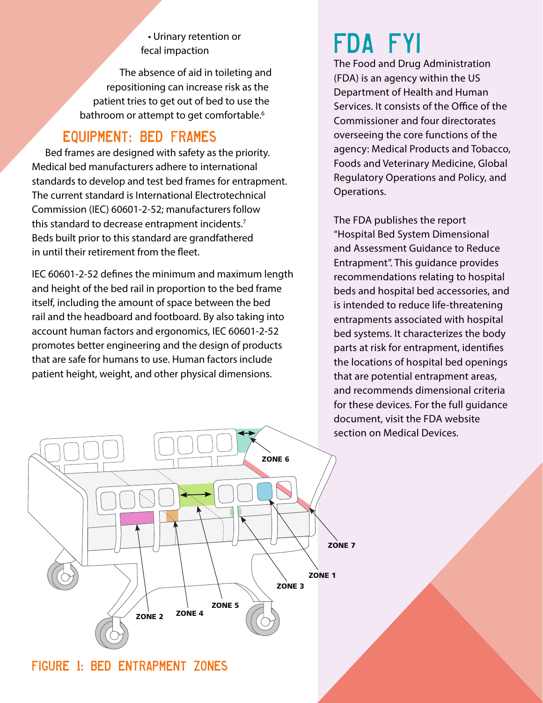#### • Urinary retention or fecal impaction

The absence of aid in toileting and repositioning can increase risk as the patient tries to get out of bed to use the bathroom or attempt to get comfortable.<sup>6</sup>

## Equipment: Bed Frames

Bed frames are designed with safety as the priority. Medical bed manufacturers adhere to international standards to develop and test bed frames for entrapment. The current standard is International Electrotechnical Commission (IEC) 60601-2-52; manufacturers follow this standard to decrease entrapment incidents.<sup>7</sup> Beds built prior to this standard are grandfathered in until their retirement from the fleet.

IEC 60601-2-52 defines the minimum and maximum length and height of the bed rail in proportion to the bed frame itself, including the amount of space between the bed rail and the headboard and footboard. By also taking into account human factors and ergonomics, IEC 60601-2-52 promotes better engineering and the design of products that are safe for humans to use. Human factors include patient height, weight, and other physical dimensions.

## FDA FYI

The Food and Drug Administration (FDA) is an agency within the US Department of Health and Human Services. It consists of the Office of the Commissioner and four directorates overseeing the core functions of the agency: Medical Products and Tobacco, Foods and Veterinary Medicine, Global Regulatory Operations and Policy, and Operations.

The FDA publishes the report "Hospital Bed System Dimensional and Assessment Guidance to Reduce Entrapment". This guidance provides recommendations relating to hospital beds and hospital bed accessories, and is intended to reduce life-threatening entrapments associated with hospital bed systems. It characterizes the body parts at risk for entrapment, identifies the locations of hospital bed openings that are potential entrapment areas, and recommends dimensional criteria for these devices. For the full guidance document, visit the FDA website section on Medical Devices.



Figure 1: Bed Entrapment Zones